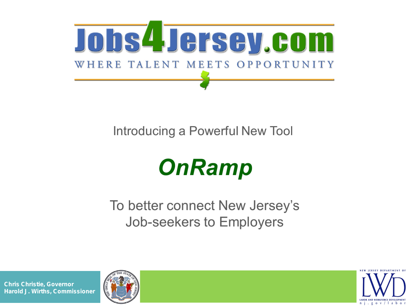

### Introducing a Powerful New Tool

# **OnRamp**

To better connect New Jersey's Job-seekers to Employers





 **Chris Christie,** *Governor* **Harold J. Wirths,** *Commissioner*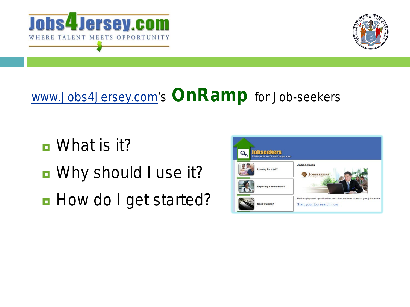



### www.Jobs4Jersey.com's *OnRamp for Job-seekers*

- What is it?
- Why should I use it?
- *How do I get started?*

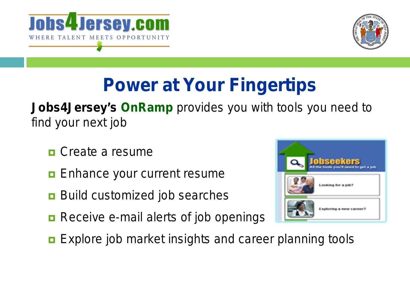



## *Power at Your Fingertips*

### **Jobs4Jersey's** *OnRamp* provides you with tools you need to find your next job

- **<u>n</u>** Create a resume
- Enhance your current resume
- **Build customized job searches**
- Receive e-mail alerts of job openings
- **Explore job market insights and career planning tools**

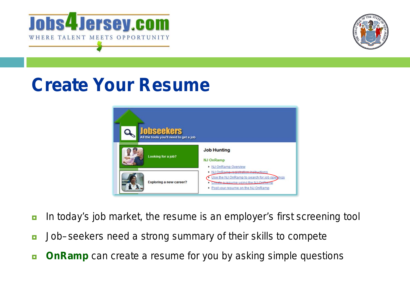



## *Create Your Resume*



- **n** In today's job market, the resume is an employer's *first* screening tool
- Job–seekers *need* a strong summary of their skills to compete
- **D** OnRamp can create a resume for you by asking simple questions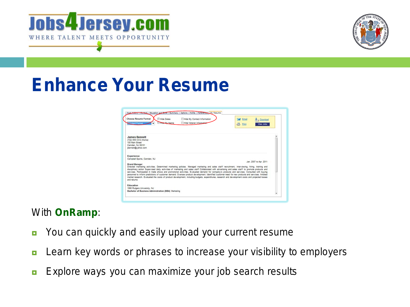



## *Enhance Your Resume*

|                                                                                                            | <b>El Hide Dates</b> | Hide My Contact Information                                                                                                                                                                                                                                                                                                                                                                                                                                                                                                                                                                                                                                                                                                                                       | Email<br><b>Download</b>       |  |
|------------------------------------------------------------------------------------------------------------|----------------------|-------------------------------------------------------------------------------------------------------------------------------------------------------------------------------------------------------------------------------------------------------------------------------------------------------------------------------------------------------------------------------------------------------------------------------------------------------------------------------------------------------------------------------------------------------------------------------------------------------------------------------------------------------------------------------------------------------------------------------------------------------------------|--------------------------------|--|
|                                                                                                            | <b>Hite-My Name</b>  | Hide Veteran Information                                                                                                                                                                                                                                                                                                                                                                                                                                                                                                                                                                                                                                                                                                                                          | $Ba$ Print<br><i>liew John</i> |  |
| <b>James Bennett</b><br>(732) 555-1212 (Home)<br>100 Main Street<br>Camden, NJ 08101<br>jbennett@yahoo.com |                      |                                                                                                                                                                                                                                                                                                                                                                                                                                                                                                                                                                                                                                                                                                                                                                   |                                |  |
| <b>Experience</b><br>Campbell Sports, Camden, NJ                                                           |                      |                                                                                                                                                                                                                                                                                                                                                                                                                                                                                                                                                                                                                                                                                                                                                                   |                                |  |
| <b>Brand Manager</b>                                                                                       |                      |                                                                                                                                                                                                                                                                                                                                                                                                                                                                                                                                                                                                                                                                                                                                                                   | Jan. 2007 to Apr. 2011         |  |
| and returns                                                                                                |                      | Directed marketing activities. Determined marketing policies. Managed marketing and sales staff recruitment, interviewing, hiring, training and<br>disciplinary action Supervised daily activities of marketing and sales staff Collaborated with advertising and sales staff to promote products and<br>services. Participated in trade shows and promotional activities. Evaluated demand for company's products and services. Consulted with buying<br>personnel to inform predictions of customer demand. Oversaw product development. Identified customer need for new products and services. Initiated<br>market research. Evaluated the costs of product development, including budgets, expenditures, research and development costs and projected losses |                                |  |
|                                                                                                            |                      |                                                                                                                                                                                                                                                                                                                                                                                                                                                                                                                                                                                                                                                                                                                                                                   |                                |  |
| Education                                                                                                  |                      |                                                                                                                                                                                                                                                                                                                                                                                                                                                                                                                                                                                                                                                                                                                                                                   |                                |  |
| 1990 Rutgers University, NJ                                                                                |                      |                                                                                                                                                                                                                                                                                                                                                                                                                                                                                                                                                                                                                                                                                                                                                                   |                                |  |

#### With *OnRamp*:

- **D** You can quickly and easily upload your current resume
- **E** Learn key words or phrases to increase your visibility to employers
- **EXPLORE WAYS you can maximize your job search results**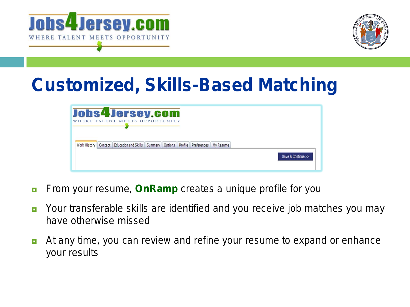



## *Customized, Skills-Based Matching*

|  | Jobs4Jersey.com<br>WHERE TALENT MEETS OPPORTUNITY                                       |  |  |  |                    |
|--|-----------------------------------------------------------------------------------------|--|--|--|--------------------|
|  | Work History Contact Education and Skills Summary Options Profile Preferences My Resume |  |  |  |                    |
|  |                                                                                         |  |  |  | Save & Continue >> |

- **From your resume, OnRamp** creates a unique profile for you
- **D** Your transferable skills are identified and you receive job matches you may have otherwise missed
- **At any time, you can review and refine your resume to expand or enhance** your results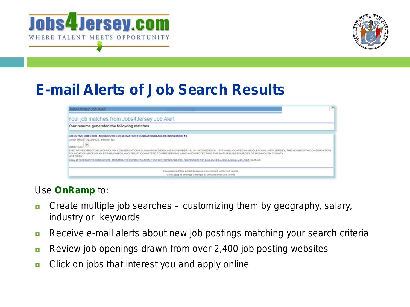



### *E-mail Alerts of Job Search Results*

| Jobs4Jersey Job Alert                                                                                                                                                                                                                                                                                                                                                                                                                                                                                                                                                                                     | 图 |
|-----------------------------------------------------------------------------------------------------------------------------------------------------------------------------------------------------------------------------------------------------------------------------------------------------------------------------------------------------------------------------------------------------------------------------------------------------------------------------------------------------------------------------------------------------------------------------------------------------------|---|
| Your job matches from Jobs4Jersey Job Alert                                                                                                                                                                                                                                                                                                                                                                                                                                                                                                                                                               |   |
| Your resume generated the following matches                                                                                                                                                                                                                                                                                                                                                                                                                                                                                                                                                               |   |
| EXECUTIVE DIRECTOR , MONIMOUTH CONSERVATION FOUNDATIONDEADUNE: NOVEMBER 18<br>LAND TRUST ALLIANCE, trenton, NJ<br>$\mathbf{w}$<br>Match Sevet:<br>EXECUTIVE DIRECTOR, MONMOUTH CONSERVATION FOUNDATION DEADLINE NOVEMBER 18, 2011FOUNDED IN 1977 AND LOCATED IN MIDDLETOWN, NEW JERSEY, THE MONMOUTH CONSERVATION<br>FOUNDATION (MCF) IS AN ESTABLISHED LAND TRUST COMMITTED TO PRESERVING LAND AND PROTECTING THE NATURAL RESOURCES OF MONMOUTH COUNTY.<br>MCF SEEK<br>Copy of "EXECUTIVE DIRECTOR , MONMOUTH CONSERVATION FOUNDATIONDEADUNE: NOVEMBER, 18" preserved by Jobs (Jersey Job Alert (cached) |   |
| You received this email because you signed up for job alerts.<br>Click here to change settings or unsubscribe job alerts                                                                                                                                                                                                                                                                                                                                                                                                                                                                                  |   |

#### Use *OnRamp* to:

- **Create multiple job searches customizing them by geography, salary,** industry or keywords
- **Receive e-mail alerts about new job postings matching your search criteria**
- Review job openings drawn from over 2,400 job posting websites
- $\blacksquare$  Click on jobs that interest you and apply online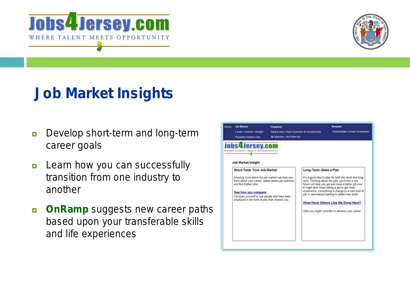



### *Job Market Insights*

- **Develop short-term and long-term** career goals
- **E** Learn how you can successfully transition from one industry to another
- **D** OnRamp suggests new career paths based upon your transferable skills and life experiences

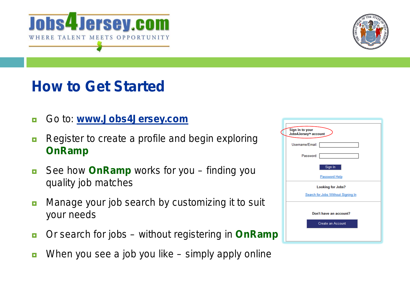



### *How to Get Started*

- Go to: **www.Jobs4Jersey.com**
- **Register to create a profile and begin exploring** *OnRamp*
- See how **OnRamp** works for you finding you quality job matches
- **n** Manage your job search by customizing it to suit *your* needs
- Or search for jobs without registering in *OnRamp*
- **Notal Upper 2018** When you see a job you like simply apply online

| Sign in to your<br>Jobs4Jersey™ account |
|-----------------------------------------|
| Username/Email:                         |
| Password:                               |
| Sign In                                 |
| Password Help                           |
| <b>Looking for Jobs?</b>                |
| Search for Jobs Without Signing In      |
|                                         |
| Don't have an account?                  |
| <b>Create an Account</b>                |
|                                         |
|                                         |